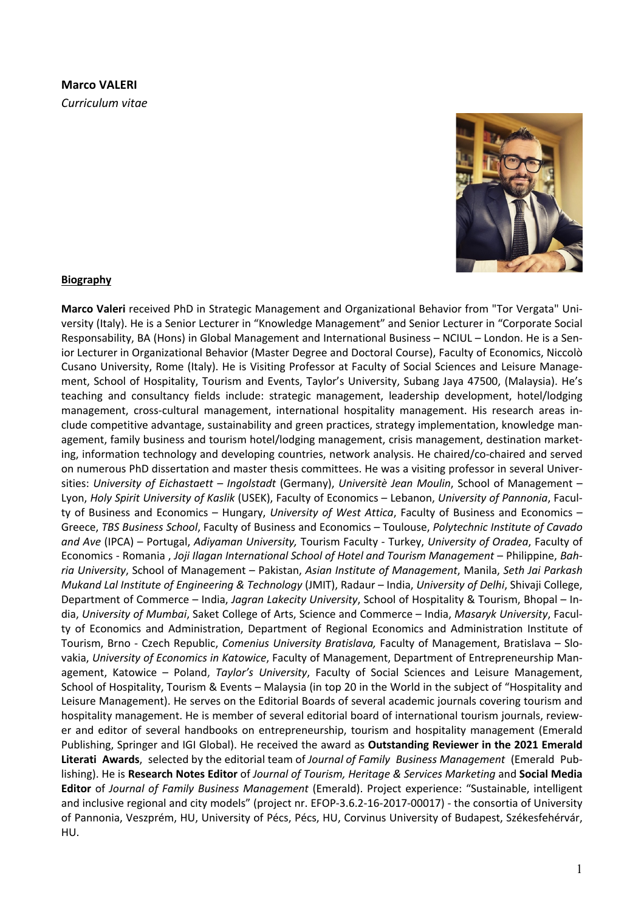# **Marco VALERI** *Curriculum vitae*



**Marco Valeri** received PhD in Strategic Management and Organizational Behavior from "Tor Vergata" University (Italy). He is a Senior Lecturer in "Knowledge Management" and Senior Lecturer in "Corporate Social Responsability, BA (Hons) in Global Management and International Business – NCIUL – London. He is a Senior Lecturer in Organizational Behavior (Master Degree and Doctoral Course), Faculty of Economics, Niccolò Cusano University, Rome (Italy). He is Visiting Professor at Faculty of Social Sciences and Leisure Management, School of Hospitality, Tourism and Events, Taylor's University, Subang Jaya 47500, (Malaysia). He's teaching and consultancy fields include: strategic management, leadership development, hotel/lodging management, cross-cultural management, international hospitality management. His research areas include competitive advantage, sustainability and green practices, strategy implementation, knowledge management, family business and tourism hotel/lodging management, crisis management, destination marketing, information technology and developing countries, network analysis. He chaired/co-chaired and served on numerous PhD dissertation and master thesis committees. He was a visiting professor in several Universities: *University of Eichastaett – Ingolstadt* (Germany), *Universitè Jean Moulin*, School of Management – Lyon, *Holy Spirit University of Kaslik* (USEK), Faculty of Economics – Lebanon, *University of Pannonia*, Faculty of Business and Economics – Hungary, *University of West Attica*, Faculty of Business and Economics – Greece, *TBS Business School*, Faculty of Business and Economics – Toulouse, *Polytechnic Institute of Cavado and Ave* (IPCA) – Portugal, *Adiyaman University,* Tourism Faculty - Turkey, *University of Oradea*, Faculty of Economics - Romania , *Joji Ilagan International School of Hotel and Tourism Management* – Philippine, *Bahria University*, School of Management – Pakistan, *Asian Institute of Management*, Manila, *Seth Jai Parkash Mukand Lal Institute of Engineering & Technology* (JMIT), Radaur – India, *University of Delhi*, Shivaji College, Department of Commerce – India, *Jagran Lakecity University*, School of Hospitality & Tourism, Bhopal – India, *University of Mumbai*, Saket College of Arts, Science and Commerce – India, *Masaryk University*, Faculty of Economics and Administration, Department of Regional Economics and Administration Institute of Tourism, Brno - Czech Republic, *Comenius University Bratislava,* Faculty of Management, Bratislava – Slovakia, *University of Economics in Katowice*, Faculty of Management, Department of Entrepreneurship Management, Katowice – Poland, *Taylor's University*, Faculty of Social Sciences and Leisure Management, School of Hospitality, Tourism & Events – Malaysia (in top 20 in the World in the subject of "Hospitality and Leisure Management). He serves on the Editorial Boards of several academic journals covering tourism and hospitality management. He is member of several editorial board of international tourism journals, reviewer and editor of several handbooks on entrepreneurship, tourism and hospitality management (Emerald Publishing, Springer and IGI Global). He received the award as **Outstanding Reviewer in the 2021 Emerald Literati Awards**, selected by the editorial team of *Journal of Family Business Management* (Emerald Publishing). He is **Research Notes Editor** of *Journal of Tourism, Heritage & Services Marketing* and **Social Media Editor** of *Journal of Family Business Management* (Emerald). Project experience: "Sustainable, intelligent and inclusive regional and city models" (project nr. EFOP-3.6.2-16-2017-00017) - the consortia of University of Pannonia, Veszprém, HU, University of Pécs, Pécs, HU, Corvinus University of Budapest, Székesfehérvár, HU.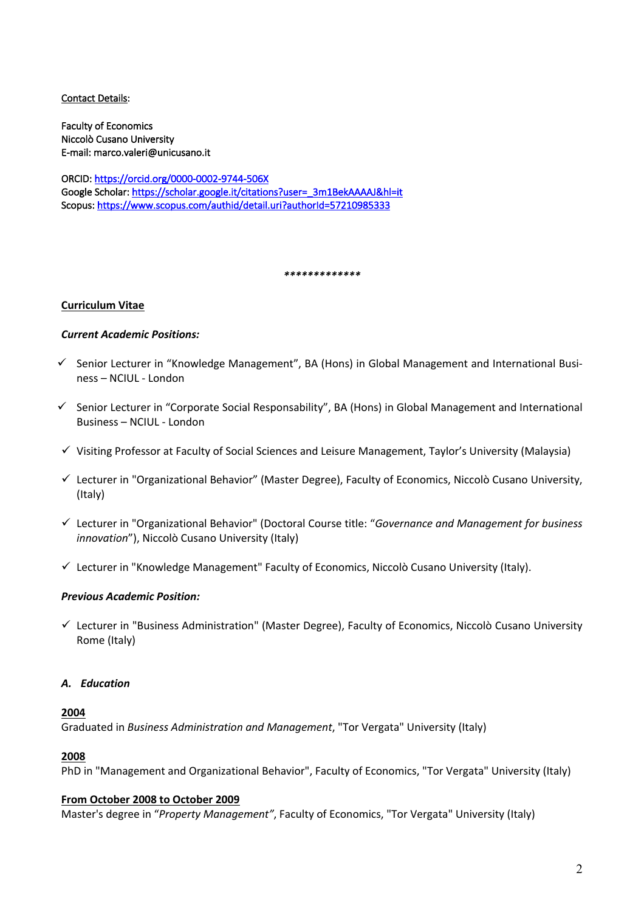## Contact Details:

Faculty of Economics Niccolò Cusano University E-mail: marco.valeri@unicusano.it

ORCID: https://orcid.org/0000-0002-9744-506X Google Scholar: https://scholar.google.it/citations?user=\_3m1BekAAAAJ&hl=it Scopus: https://www.scopus.com/authid/detail.uri?authorId=57210985333

*\*\*\*\*\*\*\*\*\*\*\*\*\**

## **Curriculum Vitae**

# *Current Academic Positions:*

- $\checkmark$  Senior Lecturer in "Knowledge Management", BA (Hons) in Global Management and International Business – NCIUL - London
- $\checkmark$  Senior Lecturer in "Corporate Social Responsability", BA (Hons) in Global Management and International Business – NCIUL - London
- $\checkmark$  Visiting Professor at Faculty of Social Sciences and Leisure Management, Taylor's University (Malaysia)
- $\checkmark$  Lecturer in "Organizational Behavior" (Master Degree), Faculty of Economics, Niccolò Cusano University, (Italy)
- ü Lecturer in "Organizational Behavior" (Doctoral Course title: "*Governance and Management for business innovation*"), Niccolò Cusano University (Italy)
- $\checkmark$  Lecturer in "Knowledge Management" Faculty of Economics, Niccolò Cusano University (Italy).

## *Previous Academic Position:*

 $\checkmark$  Lecturer in "Business Administration" (Master Degree), Faculty of Economics, Niccolò Cusano University Rome (Italy)

## *A. Education*

## **2004**

Graduated in *Business Administration and Management*, "Tor Vergata" University (Italy)

## **2008**

PhD in "Management and Organizational Behavior", Faculty of Economics, "Tor Vergata" University (Italy)

## **From October 2008 to October 2009**

Master's degree in "*Property Management"*, Faculty of Economics, "Tor Vergata" University (Italy)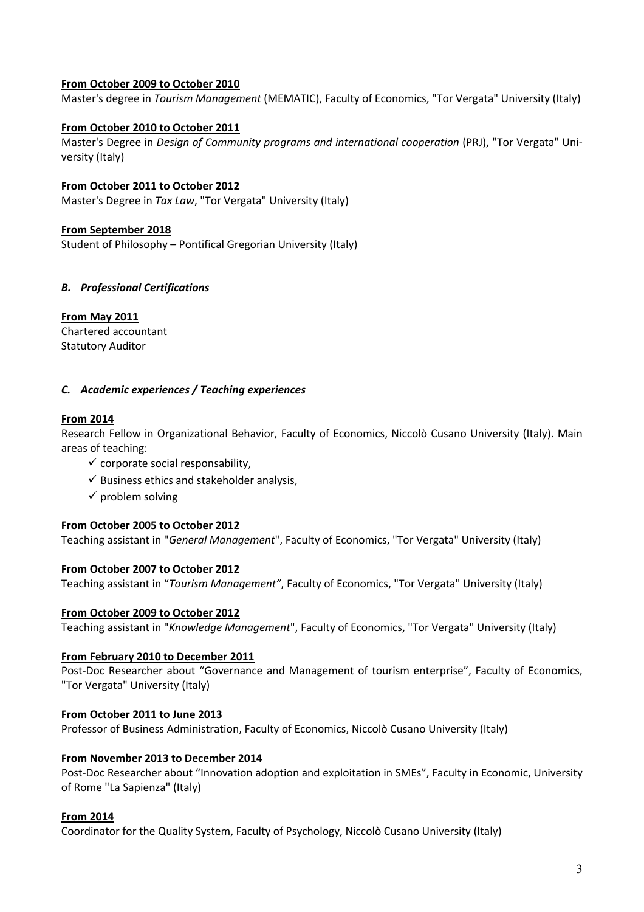# **From October 2009 to October 2010**

Master's degree in *Tourism Management* (MEMATIC), Faculty of Economics, "Tor Vergata" University (Italy)

# **From October 2010 to October 2011**

Master's Degree in *Design of Community programs and international cooperation* (PRJ), "Tor Vergata" University (Italy)

**From October 2011 to October 2012** Master's Degree in *Tax Law*, "Tor Vergata" University (Italy)

## **From September 2018**

Student of Philosophy – Pontifical Gregorian University (Italy)

# *B. Professional Certifications*

**From May 2011**

Chartered accountant Statutory Auditor

## *C. Academic experiences / Teaching experiences*

# **From 2014**

Research Fellow in Organizational Behavior, Faculty of Economics, Niccolò Cusano University (Italy). Main areas of teaching:

- $\checkmark$  corporate social responsability,
- $\checkmark$  Business ethics and stakeholder analysis,
- $\checkmark$  problem solving

## **From October 2005 to October 2012**

Teaching assistant in "*General Management*", Faculty of Economics, "Tor Vergata" University (Italy)

## **From October 2007 to October 2012**

Teaching assistant in "*Tourism Management"*, Faculty of Economics, "Tor Vergata" University (Italy)

## **From October 2009 to October 2012**

Teaching assistant in "*Knowledge Management*", Faculty of Economics, "Tor Vergata" University (Italy)

## **From February 2010 to December 2011**

Post-Doc Researcher about "Governance and Management of tourism enterprise", Faculty of Economics, "Tor Vergata" University (Italy)

## **From October 2011 to June 2013**

Professor of Business Administration, Faculty of Economics, Niccolò Cusano University (Italy)

## **From November 2013 to December 2014**

Post-Doc Researcher about "Innovation adoption and exploitation in SMEs", Faculty in Economic, University of Rome "La Sapienza" (Italy)

## **From 2014**

Coordinator for the Quality System, Faculty of Psychology, Niccolò Cusano University (Italy)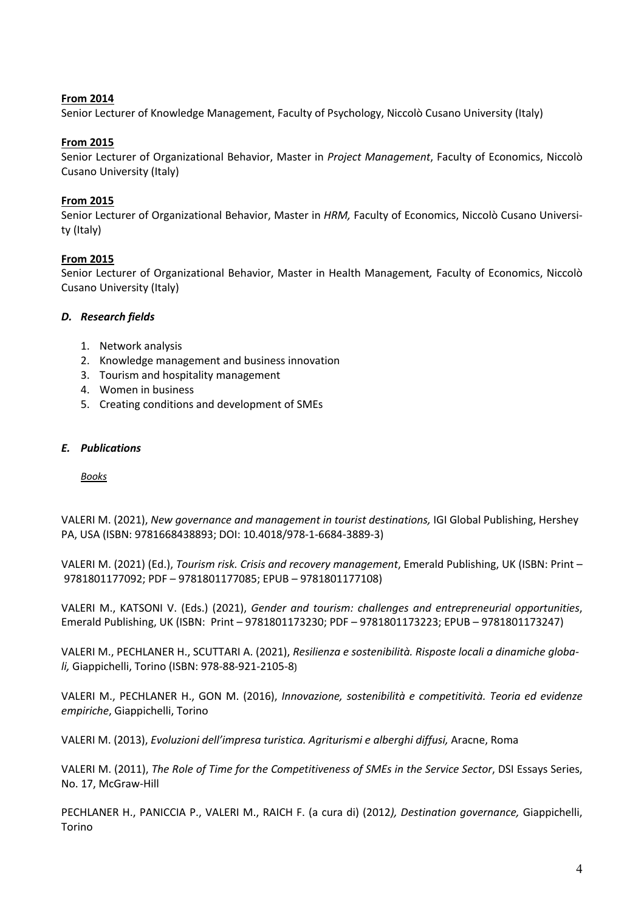# **From 2014**

Senior Lecturer of Knowledge Management, Faculty of Psychology, Niccolò Cusano University (Italy)

# **From 2015**

Senior Lecturer of Organizational Behavior, Master in *Project Management*, Faculty of Economics, Niccolò Cusano University (Italy)

# **From 2015**

Senior Lecturer of Organizational Behavior, Master in *HRM,* Faculty of Economics, Niccolò Cusano University (Italy)

# **From 2015**

Senior Lecturer of Organizational Behavior, Master in Health Management*,* Faculty of Economics, Niccolò Cusano University (Italy)

## *D. Research fields*

- 1. Network analysis
- 2. Knowledge management and business innovation
- 3. Tourism and hospitality management
- 4. Women in business
- 5. Creating conditions and development of SMEs

## *E. Publications*

*Books*

VALERI M. (2021), *New governance and management in tourist destinations,* IGI Global Publishing, Hershey PA, USA (ISBN: 9781668438893; DOI: 10.4018/978-1-6684-3889-3)

VALERI M. (2021) (Ed.), *Tourism risk. Crisis and recovery management*, Emerald Publishing, UK (ISBN: Print – 9781801177092; PDF – 9781801177085; EPUB – 9781801177108)

VALERI M., KATSONI V. (Eds.) (2021), *Gender and tourism: challenges and entrepreneurial opportunities*, Emerald Publishing, UK (ISBN: Print – 9781801173230; PDF – 9781801173223; EPUB – 9781801173247)

VALERI M., PECHLANER H., SCUTTARI A. (2021), *Resilienza e sostenibilità. Risposte locali a dinamiche globali,* Giappichelli, Torino (ISBN: 978-88-921-2105-8)

VALERI M., PECHLANER H., GON M. (2016), *Innovazione, sostenibilità e competitività. Teoria ed evidenze empiriche*, Giappichelli, Torino

VALERI M. (2013), *Evoluzioni dell'impresa turistica. Agriturismi e alberghi diffusi,* Aracne, Roma

VALERI M. (2011), *The Role of Time for the Competitiveness of SMEs in the Service Sector*, DSI Essays Series, No. 17, McGraw-Hill

PECHLANER H., PANICCIA P., VALERI M., RAICH F. (a cura di) (2012*), Destination governance,* Giappichelli, Torino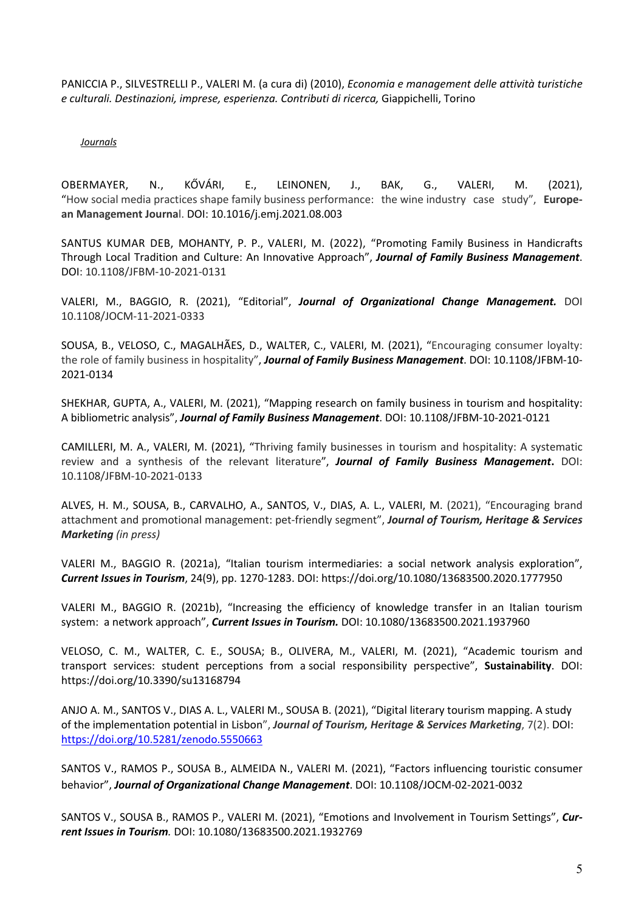PANICCIA P., SILVESTRELLI P., VALERI M. (a cura di) (2010), *Economia e management delle attività turistiche e culturali. Destinazioni, imprese, esperienza. Contributi di ricerca,* Giappichelli, Torino

#### *Journals*

OBERMAYER, N., KŐVÁRI, E., LEINONEN, J., BAK, G., VALERI, M. (2021), "How social media practices shape family business performance: the wine industry case study", **European Management Journa**l. DOI: 10.1016/j.emj.2021.08.003

SANTUS KUMAR DEB, MOHANTY, P. P., VALERI, M. (2022), "Promoting Family Business in Handicrafts Through Local Tradition and Culture: An Innovative Approach", *Journal of Family Business Management*. DOI: 10.1108/JFBM-10-2021-0131

VALERI, M., BAGGIO, R. (2021), "Editorial", *Journal of Organizational Change Management.* DOI 10.1108/JOCM-11-2021-0333

SOUSA, B., VELOSO, C., MAGALHÃES, D., WALTER, C., VALERI, M. (2021), "Encouraging consumer loyalty: the role of family business in hospitality", *Journal of Family Business Management*. DOI: 10.1108/JFBM-10- 2021-0134

SHEKHAR, GUPTA, A., VALERI, M. (2021), "Mapping research on family business in tourism and hospitality: A bibliometric analysis", *Journal of Family Business Management*. DOI: 10.1108/JFBM-10-2021-0121

CAMILLERI, M. A., VALERI, M. (2021), "Thriving family businesses in tourism and hospitality: A systematic review and a synthesis of the relevant literature", *Journal of Family Business Management***.** DOI: 10.1108/JFBM-10-2021-0133

ALVES, H. M., SOUSA, B., CARVALHO, A., SANTOS, V., DIAS, A. L., VALERI, M. (2021), "Encouraging brand attachment and promotional management: pet-friendly segment", *Journal of Tourism, Heritage & Services Marketing (in press)*

VALERI M., BAGGIO R. (2021a), "Italian tourism intermediaries: a social network analysis exploration", *Current Issues in Tourism*, 24(9), pp. 1270-1283. DOI: https://doi.org/10.1080/13683500.2020.1777950

VALERI M., BAGGIO R. (2021b), "Increasing the efficiency of knowledge transfer in an Italian tourism system: a network approach", *Current Issues in Tourism.* DOI: 10.1080/13683500.2021.1937960

VELOSO, C. M., WALTER, C. E., SOUSA; B., OLIVERA, M., VALERI, M. (2021), "Academic tourism and transport services: student perceptions from a social responsibility perspective", **Sustainability**. DOI: https://doi.org/10.3390/su13168794

ANJO A. M., SANTOS V., DIAS A. L., VALERI M., SOUSA B. (2021), "Digital literary tourism mapping. A study of the implementation potential in Lisbon", *Journal of Tourism, Heritage & Services Marketing*, 7(2). DOI: https://doi.org/10.5281/zenodo.5550663

SANTOS V., RAMOS P., SOUSA B., ALMEIDA N., VALERI M. (2021), "Factors influencing touristic consumer behavior", *Journal of Organizational Change Management*. DOI: 10.1108/JOCM-02-2021-0032

SANTOS V., SOUSA B., RAMOS P., VALERI M. (2021), "Emotions and Involvement in Tourism Settings", *Current Issues in Tourism.* DOI: 10.1080/13683500.2021.1932769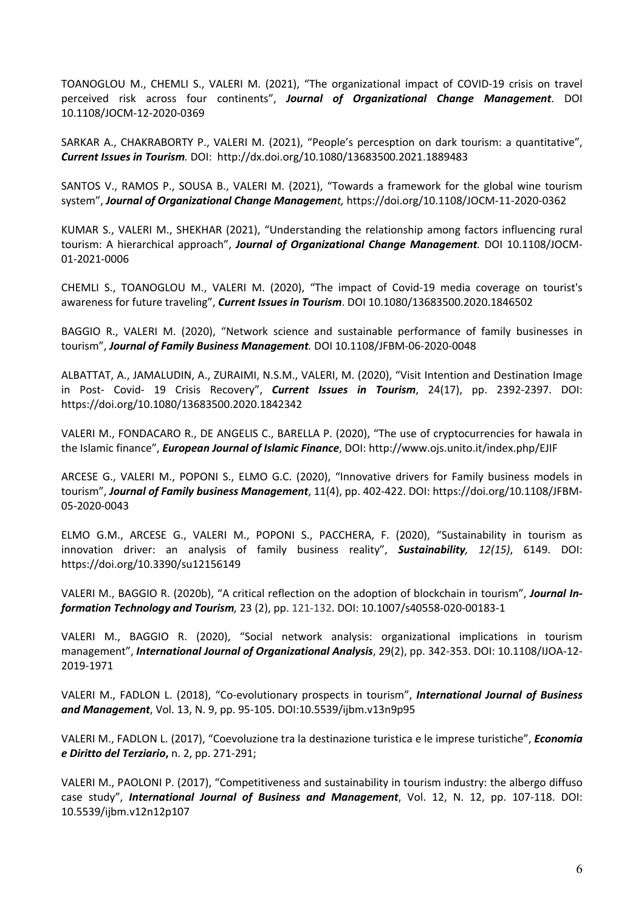TOANOGLOU M., CHEMLI S., VALERI M. (2021), "The organizational impact of COVID-19 crisis on travel perceived risk across four continents", *Journal of Organizational Change Management*. DOI 10.1108/JOCM-12-2020-0369

SARKAR A., CHAKRABORTY P., VALERI M. (2021), "People's percesption on dark tourism: a quantitative", *Current Issues in Tourism.* DOI: http://dx.doi.org/10.1080/13683500.2021.1889483

SANTOS V., RAMOS P., SOUSA B., VALERI M. (2021), "Towards a framework for the global wine tourism system", *Journal of Organizational Change Management,* https://doi.org/10.1108/JOCM-11-2020-0362

KUMAR S., VALERI M., SHEKHAR (2021), "Understanding the relationship among factors influencing rural tourism: A hierarchical approach", *Journal of Organizational Change Management.* DOI 10.1108/JOCM-01-2021-0006

CHEMLI S., TOANOGLOU M., VALERI M. (2020), "The impact of Covid-19 media coverage on tourist's awareness for future traveling", *Current Issues in Tourism*. DOI 10.1080/13683500.2020.1846502

BAGGIO R., VALERI M. (2020), "Network science and sustainable performance of family businesses in tourism", *Journal of Family Business Management.* DOI 10.1108/JFBM-06-2020-0048

ALBATTAT, A., JAMALUDIN, A., ZURAIMI, N.S.M., VALERI, M. (2020), "Visit Intention and Destination Image in Post- Covid- 19 Crisis Recovery", *Current Issues in Tourism*, 24(17), pp. 2392-2397. DOI: https://doi.org/10.1080/13683500.2020.1842342

VALERI M., FONDACARO R., DE ANGELIS C., BARELLA P. (2020), "The use of cryptocurrencies for hawala in the Islamic finance", *European Journal of Islamic Finance*, DOI: http://www.ojs.unito.it/index.php/EJIF

ARCESE G., VALERI M., POPONI S., ELMO G.C. (2020), "Innovative drivers for Family business models in tourism", *Journal of Family business Management*, 11(4), pp. 402-422. DOI: https://doi.org/10.1108/JFBM-05-2020-0043

ELMO G.M., ARCESE G., VALERI M., POPONI S., PACCHERA, F. (2020), "Sustainability in tourism as innovation driver: an analysis of family business reality", *Sustainability, 12(15)*, 6149. DOI: https://doi.org/10.3390/su12156149

VALERI M., BAGGIO R. (2020b), "A critical reflection on the adoption of blockchain in tourism", *Journal Information Technology and Tourism,* 23 (2), pp. 121-132. DOI: 10.1007/s40558-020-00183-1

VALERI M., BAGGIO R. (2020), "Social network analysis: organizational implications in tourism management", *International Journal of Organizational Analysis*, 29(2), pp. 342-353. DOI: 10.1108/IJOA-12- 2019-1971

VALERI M., FADLON L. (2018), "Co-evolutionary prospects in tourism", *International Journal of Business and Management*, Vol. 13, N. 9, pp. 95-105. DOI:10.5539/ijbm.v13n9p95

VALERI M., FADLON L. (2017), "Coevoluzione tra la destinazione turistica e le imprese turistiche", *Economia e Diritto del Terziario***,** n. 2, pp. 271-291;

VALERI M., PAOLONI P. (2017), "Competitiveness and sustainability in tourism industry: the albergo diffuso case study", *International Journal of Business and Management*, Vol. 12, N. 12, pp. 107-118. DOI: 10.5539/ijbm.v12n12p107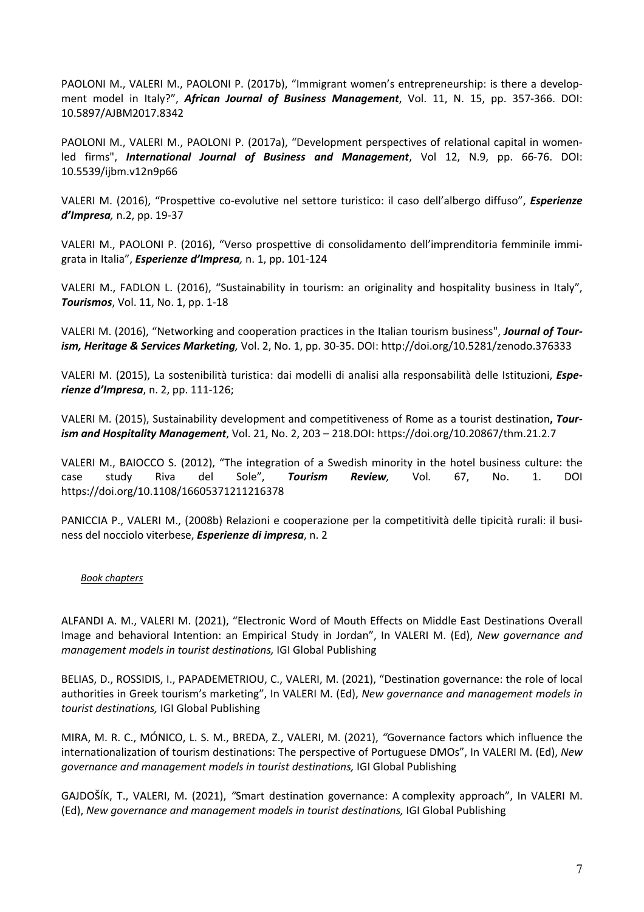PAOLONI M., VALERI M., PAOLONI P. (2017b), "Immigrant women's entrepreneurship: is there a development model in Italy?", *African Journal of Business Management*, Vol. 11, N. 15, pp. 357-366. DOI: 10.5897/AJBM2017.8342

PAOLONI M., VALERI M., PAOLONI P. (2017a), "Development perspectives of relational capital in womenled firms", *International Journal of Business and Management*, Vol 12, N.9, pp. 66-76. DOI: 10.5539/ijbm.v12n9p66

VALERI M. (2016), "Prospettive co-evolutive nel settore turistico: il caso dell'albergo diffuso", *Esperienze d'Impresa,* n.2, pp. 19-37

VALERI M., PAOLONI P. (2016), "Verso prospettive di consolidamento dell'imprenditoria femminile immigrata in Italia", *Esperienze d'Impresa,* n. 1, pp. 101-124

VALERI M., FADLON L. (2016), "Sustainability in tourism: an originality and hospitality business in Italy", *Tourismos*, Vol. 11, No. 1, pp. 1-18

VALERI M. (2016), "Networking and cooperation practices in the Italian tourism business", *Journal of Tourism, Heritage & Services Marketing,* Vol. 2, No. 1, pp. 30-35. DOI: http://doi.org/10.5281/zenodo.376333

VALERI M. (2015), La sostenibilità turistica: dai modelli di analisi alla responsabilità delle Istituzioni, *Esperienze d'Impresa*, n. 2, pp. 111-126;

VALERI M. (2015), Sustainability development and competitiveness of Rome as a tourist destination**,** *Tourism and Hospitality Management*, Vol. 21, No. 2, 203 – 218.DOI: https://doi.org/10.20867/thm.21.2.7

VALERI M., BAIOCCO S. (2012), "The integration of a Swedish minority in the hotel business culture: the case study Riva del Sole", *Tourism Review,* Vol*.* 67, No. 1. DOI https://doi.org/10.1108/16605371211216378

PANICCIA P., VALERI M., (2008b) Relazioni e cooperazione per la competitività delle tipicità rurali: il business del nocciolo viterbese, *Esperienze di impresa*, n. 2

## *Book chapters*

ALFANDI A. M., VALERI M. (2021), "Electronic Word of Mouth Effects on Middle East Destinations Overall Image and behavioral Intention: an Empirical Study in Jordan", In VALERI M. (Ed), *New governance and management models in tourist destinations,* IGI Global Publishing

BELIAS, D., ROSSIDIS, I., PAPADEMETRIOU, C., VALERI, M. (2021), "Destination governance: the role of local authorities in Greek tourism's marketing", In VALERI M. (Ed), *New governance and management models in tourist destinations,* IGI Global Publishing

MIRA, M. R. C., MÓNICO, L. S. M., BREDA, Z., VALERI, M. (2021), *"*Governance factors which influence the internationalization of tourism destinations: The perspective of Portuguese DMOs", In VALERI M. (Ed), *New governance and management models in tourist destinations,* IGI Global Publishing

GAJDOŠÍK, T., VALERI, M. (2021), *"*Smart destination governance: A complexity approach", In VALERI M. (Ed), *New governance and management models in tourist destinations,* IGI Global Publishing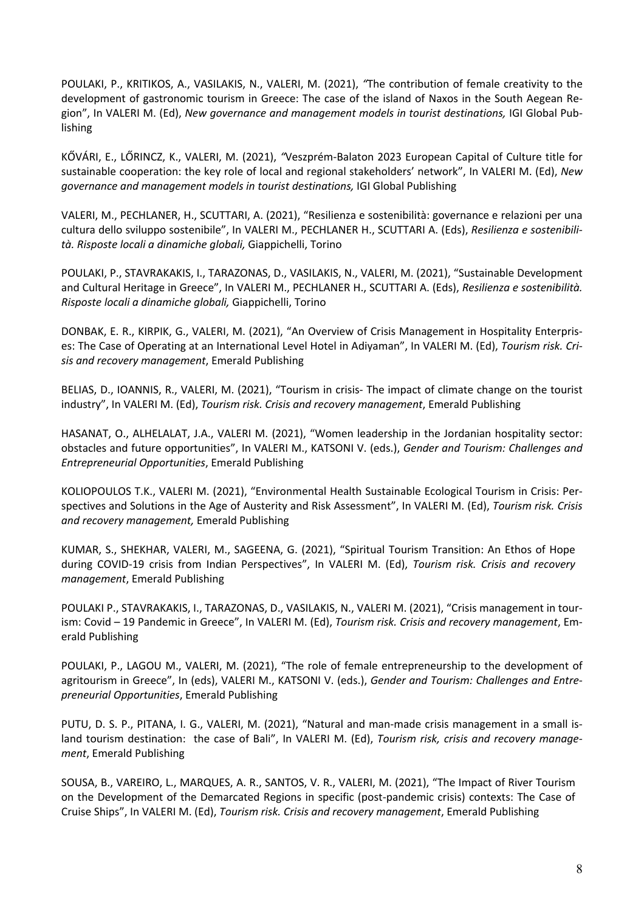POULAKI, P., KRITIKOS, A., VASILAKIS, N., VALERI, M. (2021), *"*The contribution of female creativity to the development of gastronomic tourism in Greece: The case of the island of Naxos in the South Aegean Region", In VALERI M. (Ed), *New governance and management models in tourist destinations,* IGI Global Publishing

KŐVÁRI, E., LŐRINCZ, K., VALERI, M. (2021), *"*Veszprém-Balaton 2023 European Capital of Culture title for sustainable cooperation: the key role of local and regional stakeholders' network", In VALERI M. (Ed), *New governance and management models in tourist destinations,* IGI Global Publishing

VALERI, M., PECHLANER, H., SCUTTARI, A. (2021), "Resilienza e sostenibilità: governance e relazioni per una cultura dello sviluppo sostenibile", In VALERI M., PECHLANER H., SCUTTARI A. (Eds), *Resilienza e sostenibilità. Risposte locali a dinamiche globali,* Giappichelli, Torino

POULAKI, P., STAVRAKAKIS, I., TARAZONAS, D., VASILAKIS, N., VALERI, M. (2021), "Sustainable Development and Cultural Heritage in Greece", In VALERI M., PECHLANER H., SCUTTARI A. (Eds), *Resilienza e sostenibilità. Risposte locali a dinamiche globali,* Giappichelli, Torino

DONBAK, E. R., KIRPIK, G., VALERI, M. (2021), "An Overview of Crisis Management in Hospitality Enterprises: The Case of Operating at an International Level Hotel in Adiyaman", In VALERI M. (Ed), *Tourism risk. Crisis and recovery management*, Emerald Publishing

BELIAS, D., IOANNIS, R., VALERI, M. (2021), "Tourism in crisis- The impact of climate change on the tourist industry", In VALERI M. (Ed), *Tourism risk. Crisis and recovery management*, Emerald Publishing

HASANAT, O., ALHELALAT, J.A., VALERI M. (2021), "Women leadership in the Jordanian hospitality sector: obstacles and future opportunities", In VALERI M., KATSONI V. (eds.), *Gender and Tourism: Challenges and Entrepreneurial Opportunities*, Emerald Publishing

KOLIOPOULOS T.K., VALERI M. (2021), "Environmental Health Sustainable Ecological Tourism in Crisis: Perspectives and Solutions in the Age of Austerity and Risk Assessment", In VALERI M. (Ed), *Tourism risk. Crisis and recovery management,* Emerald Publishing

KUMAR, S., SHEKHAR, VALERI, M., SAGEENA, G. (2021), "Spiritual Tourism Transition: An Ethos of Hope during COVID-19 crisis from Indian Perspectives", In VALERI M. (Ed), *Tourism risk. Crisis and recovery management*, Emerald Publishing

POULAKI P., STAVRAKAKIS, I., TARAZONAS, D., VASILAKIS, N., VALERI M. (2021), "Crisis management in tourism: Covid – 19 Pandemic in Greece", In VALERI M. (Ed), *Tourism risk. Crisis and recovery management*, Emerald Publishing

POULAKI, P., LAGOU M., VALERI, M. (2021), "The role of female entrepreneurship to the development of agritourism in Greece", In (eds), VALERI M., KATSONI V. (eds.), *Gender and Tourism: Challenges and Entrepreneurial Opportunities*, Emerald Publishing

PUTU, D. S. P., PITANA, I. G., VALERI, M. (2021), "Natural and man-made crisis management in a small island tourism destination: the case of Bali", In VALERI M. (Ed), *Tourism risk, crisis and recovery management*, Emerald Publishing

SOUSA, B., VAREIRO, L., MARQUES, A. R., SANTOS, V. R., VALERI, M. (2021), "The Impact of River Tourism on the Development of the Demarcated Regions in specific (post-pandemic crisis) contexts: The Case of Cruise Ships", In VALERI M. (Ed), *Tourism risk. Crisis and recovery management*, Emerald Publishing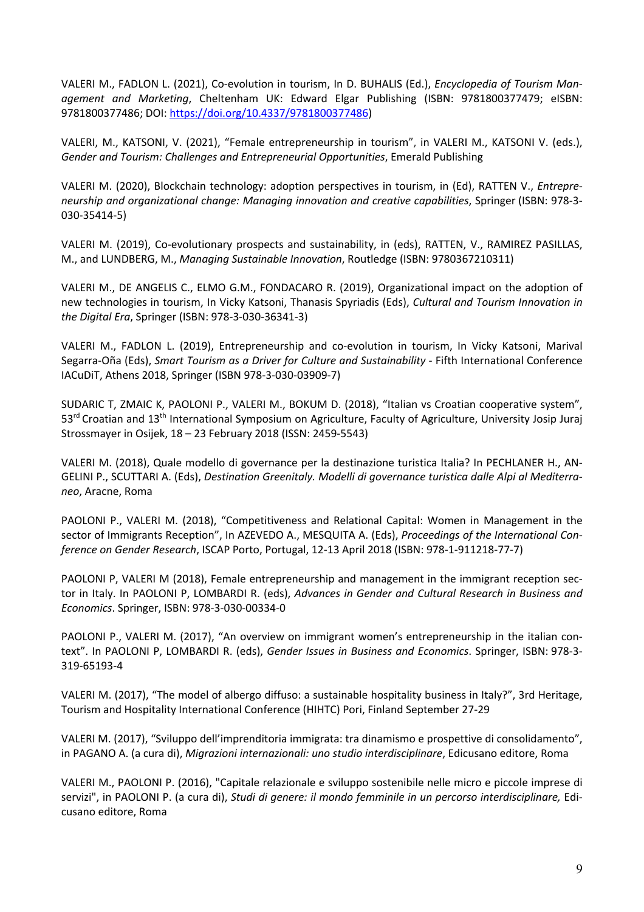VALERI M., FADLON L. (2021), Co-evolution in tourism, In D. BUHALIS (Ed.), *Encyclopedia of Tourism Management and Marketing*, Cheltenham UK: Edward Elgar Publishing (ISBN: 9781800377479; eISBN: 9781800377486; DOI: https://doi.org/10.4337/9781800377486)

VALERI, M., KATSONI, V. (2021), "Female entrepreneurship in tourism", in VALERI M., KATSONI V. (eds.), *Gender and Tourism: Challenges and Entrepreneurial Opportunities*, Emerald Publishing

VALERI M. (2020), Blockchain technology: adoption perspectives in tourism, in (Ed), RATTEN V., *Entrepreneurship and organizational change: Managing innovation and creative capabilities*, Springer (ISBN: 978-3- 030-35414-5)

VALERI M. (2019), Co-evolutionary prospects and sustainability, in (eds), RATTEN, V., RAMIREZ PASILLAS, M., and LUNDBERG, M., *Managing Sustainable Innovation*, Routledge (ISBN: 9780367210311)

VALERI M., DE ANGELIS C., ELMO G.M., FONDACARO R. (2019), Organizational impact on the adoption of new technologies in tourism, In Vicky Katsoni, Thanasis Spyriadis (Eds), *Cultural and Tourism Innovation in the Digital Era*, Springer (ISBN: 978-3-030-36341-3)

VALERI M., FADLON L. (2019), Entrepreneurship and co-evolution in tourism, In Vicky Katsoni, Marival Segarra-Oña (Eds), *Smart Tourism as a Driver for Culture and Sustainability* - Fifth International Conference IACuDiT, Athens 2018, Springer (ISBN 978-3-030-03909-7)

SUDARIC T, ZMAIC K, PAOLONI P., VALERI M., BOKUM D. (2018), "Italian vs Croatian cooperative system", 53rd Croatian and 13th International Symposium on Agriculture, Faculty of Agriculture, University Josip Juraj Strossmayer in Osijek, 18 – 23 February 2018 (ISSN: 2459-5543)

VALERI M. (2018), Quale modello di governance per la destinazione turistica Italia? In PECHLANER H., AN-GELINI P., SCUTTARI A. (Eds), *Destination Greenitaly. Modelli di governance turistica dalle Alpi al Mediterraneo*, Aracne, Roma

PAOLONI P., VALERI M. (2018), "Competitiveness and Relational Capital: Women in Management in the sector of Immigrants Reception", In AZEVEDO A., MESQUITA A. (Eds), *Proceedings of the International Conference on Gender Research*, ISCAP Porto, Portugal, 12-13 April 2018 (ISBN: 978-1-911218-77-7)

PAOLONI P, VALERI M (2018), Female entrepreneurship and management in the immigrant reception sector in Italy. In PAOLONI P, LOMBARDI R. (eds), *Advances in Gender and Cultural Research in Business and Economics*. Springer, ISBN: 978-3-030-00334-0

PAOLONI P., VALERI M. (2017), "An overview on immigrant women's entrepreneurship in the italian context". In PAOLONI P, LOMBARDI R. (eds), *Gender Issues in Business and Economics*. Springer, ISBN: 978-3- 319-65193-4

VALERI M. (2017), "The model of albergo diffuso: a sustainable hospitality business in Italy?", 3rd Heritage, Tourism and Hospitality International Conference (HIHTC) Pori, Finland September 27-29

VALERI M. (2017), "Sviluppo dell'imprenditoria immigrata: tra dinamismo e prospettive di consolidamento", in PAGANO A. (a cura di), *Migrazioni internazionali: uno studio interdisciplinare*, Edicusano editore, Roma

VALERI M., PAOLONI P. (2016), "Capitale relazionale e sviluppo sostenibile nelle micro e piccole imprese di servizi", in PAOLONI P. (a cura di), *Studi di genere: il mondo femminile in un percorso interdisciplinare,* Edicusano editore, Roma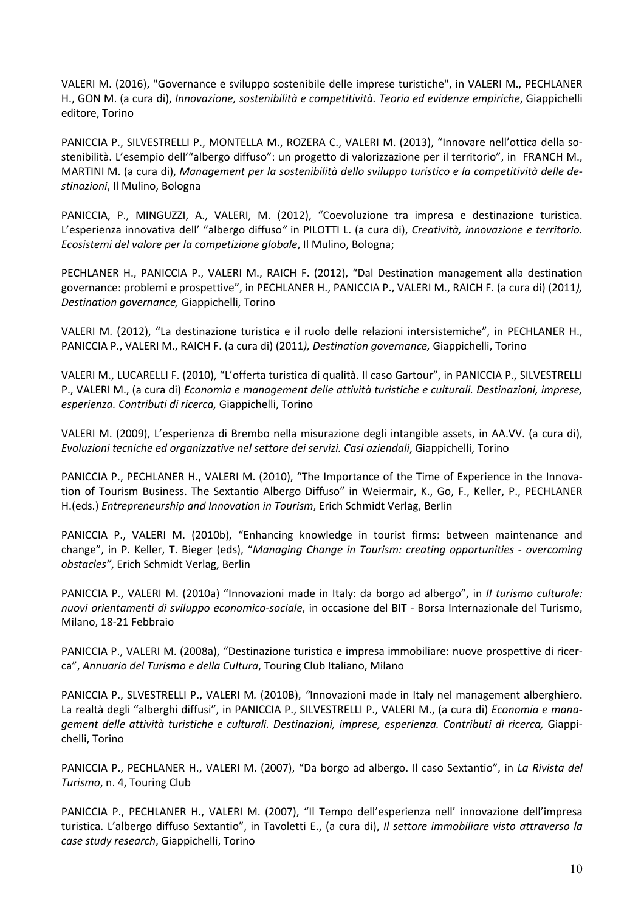VALERI M. (2016), "Governance e sviluppo sostenibile delle imprese turistiche", in VALERI M., PECHLANER H., GON M. (a cura di), *Innovazione, sostenibilità e competitività. Teoria ed evidenze empiriche*, Giappichelli editore, Torino

PANICCIA P., SILVESTRELLI P., MONTELLA M., ROZERA C., VALERI M. (2013), "Innovare nell'ottica della sostenibilità. L'esempio dell'"albergo diffuso": un progetto di valorizzazione per il territorio", in FRANCH M., MARTINI M. (a cura di), *Management per la sostenibilità dello sviluppo turistico e la competitività delle destinazioni*, Il Mulino, Bologna

PANICCIA, P., MINGUZZI, A., VALERI, M. (2012), "Coevoluzione tra impresa e destinazione turistica. L'esperienza innovativa dell' "albergo diffuso*"* in PILOTTI L. (a cura di), *Creatività, innovazione e territorio. Ecosistemi del valore per la competizione globale*, Il Mulino, Bologna;

PECHLANER H., PANICCIA P., VALERI M., RAICH F. (2012), "Dal Destination management alla destination governance: problemi e prospettive", in PECHLANER H., PANICCIA P., VALERI M., RAICH F. (a cura di) (2011*), Destination governance,* Giappichelli, Torino

VALERI M. (2012), "La destinazione turistica e il ruolo delle relazioni intersistemiche", in PECHLANER H., PANICCIA P., VALERI M., RAICH F. (a cura di) (2011*), Destination governance,* Giappichelli, Torino

VALERI M., LUCARELLI F. (2010), "L'offerta turistica di qualità. Il caso Gartour", in PANICCIA P., SILVESTRELLI P., VALERI M., (a cura di) *Economia e management delle attività turistiche e culturali. Destinazioni, imprese, esperienza. Contributi di ricerca,* Giappichelli, Torino

VALERI M. (2009), L'esperienza di Brembo nella misurazione degli intangible assets, in AA.VV. (a cura di), *Evoluzioni tecniche ed organizzative nel settore dei servizi. Casi aziendali*, Giappichelli, Torino

PANICCIA P., PECHLANER H., VALERI M. (2010), "The Importance of the Time of Experience in the Innovation of Tourism Business. The Sextantio Albergo Diffuso" in Weiermair, K., Go, F., Keller, P., PECHLANER H.(eds.) *Entrepreneurship and Innovation in Tourism*, Erich Schmidt Verlag, Berlin

PANICCIA P., VALERI M. (2010b), "Enhancing knowledge in tourist firms: between maintenance and change", in P. Keller, T. Bieger (eds), "*Managing Change in Tourism: creating opportunities - overcoming obstacles"*, Erich Schmidt Verlag, Berlin

PANICCIA P., VALERI M. (2010a) "Innovazioni made in Italy: da borgo ad albergo", in *II turismo culturale: nuovi orientamenti di sviluppo economico-sociale*, in occasione del BIT - Borsa Internazionale del Turismo, Milano, 18-21 Febbraio

PANICCIA P., VALERI M. (2008a), "Destinazione turistica e impresa immobiliare: nuove prospettive di ricerca", *Annuario del Turismo e della Cultura*, Touring Club Italiano, Milano

PANICCIA P., SLVESTRELLI P., VALERI M*.* (2010B), *"*Innovazioni made in Italy nel management alberghiero. La realtà degli "alberghi diffusi", in PANICCIA P., SILVESTRELLI P., VALERI M., (a cura di) *Economia e management delle attività turistiche e culturali. Destinazioni, imprese, esperienza. Contributi di ricerca,* Giappichelli, Torino

PANICCIA P., PECHLANER H., VALERI M. (2007), "Da borgo ad albergo. Il caso Sextantio", in *La Rivista del Turismo*, n. 4, Touring Club

PANICCIA P., PECHLANER H., VALERI M. (2007), "Il Tempo dell'esperienza nell' innovazione dell'impresa turistica. L'albergo diffuso Sextantio", in Tavoletti E., (a cura di), *Il settore immobiliare visto attraverso la case study research*, Giappichelli, Torino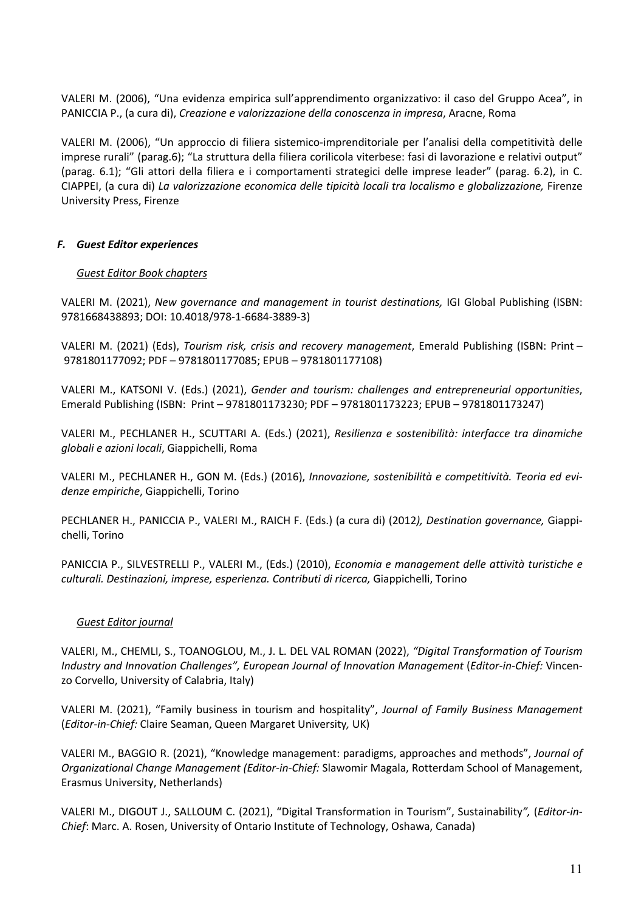VALERI M. (2006), "Una evidenza empirica sull'apprendimento organizzativo: il caso del Gruppo Acea", in PANICCIA P., (a cura di), *Creazione e valorizzazione della conoscenza in impresa*, Aracne, Roma

VALERI M. (2006), "Un approccio di filiera sistemico-imprenditoriale per l'analisi della competitività delle imprese rurali" (parag.6); "La struttura della filiera corilicola viterbese: fasi di lavorazione e relativi output" (parag. 6.1); "Gli attori della filiera e i comportamenti strategici delle imprese leader" (parag. 6.2), in C. CIAPPEI, (a cura di) *La valorizzazione economica delle tipicità locali tra localismo e globalizzazione,* Firenze University Press, Firenze

# *F. Guest Editor experiences*

# *Guest Editor Book chapters*

VALERI M. (2021), *New governance and management in tourist destinations,* IGI Global Publishing (ISBN: 9781668438893; DOI: 10.4018/978-1-6684-3889-3)

VALERI M. (2021) (Eds), *Tourism risk, crisis and recovery management*, Emerald Publishing (ISBN: Print – 9781801177092; PDF – 9781801177085; EPUB – 9781801177108)

VALERI M., KATSONI V. (Eds.) (2021), *Gender and tourism: challenges and entrepreneurial opportunities*, Emerald Publishing (ISBN: Print – 9781801173230; PDF – 9781801173223; EPUB – 9781801173247)

VALERI M., PECHLANER H., SCUTTARI A. (Eds.) (2021), *Resilienza e sostenibilità: interfacce tra dinamiche globali e azioni locali*, Giappichelli, Roma

VALERI M., PECHLANER H., GON M. (Eds.) (2016), *Innovazione, sostenibilità e competitività. Teoria ed evidenze empiriche*, Giappichelli, Torino

PECHLANER H., PANICCIA P., VALERI M., RAICH F. (Eds.) (a cura di) (2012*), Destination governance,* Giappichelli, Torino

PANICCIA P., SILVESTRELLI P., VALERI M., (Eds.) (2010), *Economia e management delle attività turistiche e culturali. Destinazioni, imprese, esperienza. Contributi di ricerca,* Giappichelli, Torino

## *Guest Editor journal*

VALERI, M., CHEMLI, S., TOANOGLOU, M., J. L. DEL VAL ROMAN (2022), *"Digital Transformation of Tourism Industry and Innovation Challenges", European Journal of Innovation Management* (*Editor-in-Chief:* Vincenzo Corvello, University of Calabria, Italy)

VALERI M. (2021), "Family business in tourism and hospitality", *Journal of Family Business Management* (*Editor-in-Chief:* Claire Seaman, Queen Margaret University*,* UK)

VALERI M., BAGGIO R. (2021), "Knowledge management: paradigms, approaches and methods", *Journal of Organizational Change Management (Editor-in-Chief:* Slawomir Magala, Rotterdam School of Management, Erasmus University, Netherlands)

VALERI M., DIGOUT J., SALLOUM C. (2021), "Digital Transformation in Tourism", Sustainability*",* (*Editor-in-Chief*: Marc. A. Rosen, University of Ontario Institute of Technology, Oshawa, Canada)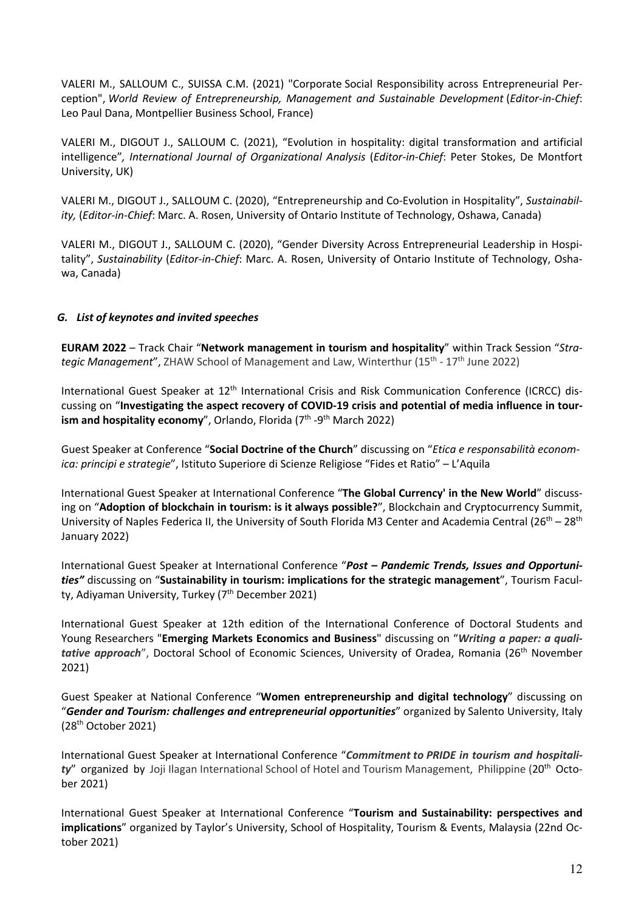VALERI M., SALLOUM C., SUISSA C.M. (2021) "Corporate Social Responsibility across Entrepreneurial Perception", *World Review of Entrepreneurship, Management and Sustainable Development* (*Editor-in-Chief*: Leo Paul Dana, Montpellier Business School, France)

VALERI M., DIGOUT J., SALLOUM C. (2021), "Evolution in hospitality: digital transformation and artificial intelligence"*, International Journal of Organizational Analysis* (*Editor-in-Chief*: Peter Stokes, De Montfort University, UK)

VALERI M., DIGOUT J., SALLOUM C. (2020), "Entrepreneurship and Co-Evolution in Hospitality", *Sustainability,* (*Editor-in-Chief*: Marc. A. Rosen, University of Ontario Institute of Technology, Oshawa, Canada)

VALERI M., DIGOUT J., SALLOUM C. (2020), "Gender Diversity Across Entrepreneurial Leadership in Hospitality", *Sustainability* (*Editor-in-Chief*: Marc. A. Rosen, University of Ontario Institute of Technology, Oshawa, Canada)

# *G. List of keynotes and invited speeches*

**EURAM 2022** – Track Chair "**Network management in tourism and hospitality**" within Track Session "*Strategic Management*", ZHAW School of Management and Law, Winterthur (15<sup>th</sup> - 17<sup>th</sup> June 2022)

International Guest Speaker at 12<sup>th</sup> International Crisis and Risk Communication Conference (ICRCC) discussing on "**Investigating the aspect recovery of COVID-19 crisis and potential of media influence in tourism and hospitality economy", Orlando, Florida (7<sup>th</sup> -9<sup>th</sup> March 2022)** 

Guest Speaker at Conference "**Social Doctrine of the Church**" discussing on "*Etica e responsabilità economica: principi e strategie*", Istituto Superiore di Scienze Religiose "Fides et Ratio" – L'Aquila

International Guest Speaker at International Conference "**The Global Currency' in the New World**" discussing on "**Adoption of blockchain in tourism: is it always possible?**", Blockchain and Cryptocurrency Summit, University of Naples Federica II, the University of South Florida M3 Center and Academia Central ( $26^{th} - 28^{th}$ January 2022)

International Guest Speaker at International Conference "*Post – Pandemic Trends, Issues and Opportunities"* discussing on "**Sustainability in tourism: implications for the strategic management**", Tourism Faculty, Adiyaman University, Turkey (7<sup>th</sup> December 2021)

International Guest Speaker at 12th edition of the International Conference of Doctoral Students and Young Researchers "**Emerging Markets Economics and Business**" discussing on "*Writing a paper: a qualitative approach*", Doctoral School of Economic Sciences, University of Oradea, Romania (26<sup>th</sup> November 2021)

Guest Speaker at National Conference "**Women entrepreneurship and digital technology**" discussing on "*Gender and Tourism: challenges and entrepreneurial opportunities*" organized by Salento University, Italy  $(28<sup>th</sup> October 2021)$ 

International Guest Speaker at International Conference "*Commitment to PRIDE in tourism and hospitality*" organized by Joji Ilagan International School of Hotel and Tourism Management, Philippine (20th October 2021)

International Guest Speaker at International Conference "**Tourism and Sustainability: perspectives and implications**" organized by Taylor's University, School of Hospitality, Tourism & Events, Malaysia (22nd October 2021)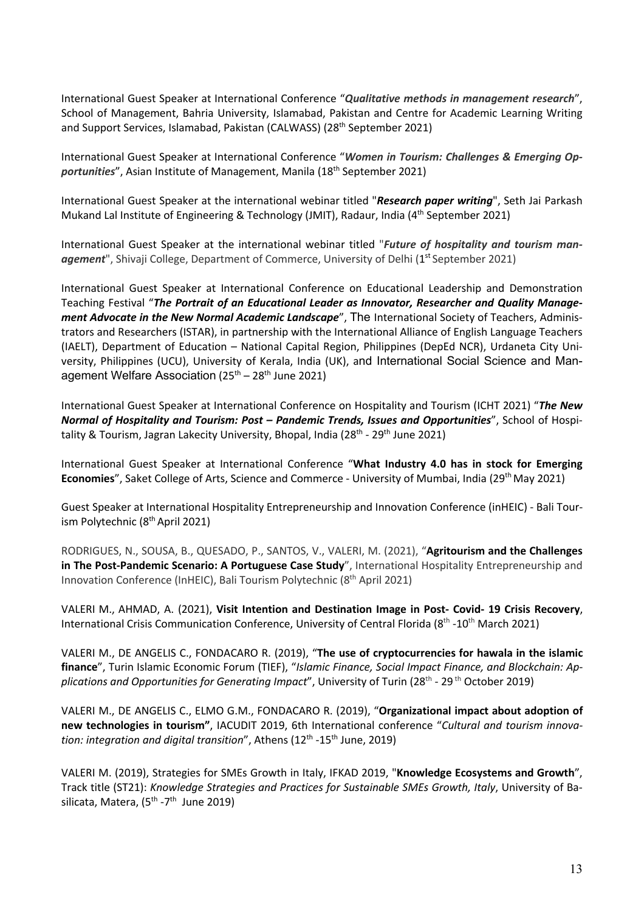International Guest Speaker at International Conference "*Qualitative methods in management research*", School of Management, Bahria University, Islamabad, Pakistan and Centre for Academic Learning Writing and Support Services, Islamabad, Pakistan (CALWASS) (28th September 2021)

International Guest Speaker at International Conference "*Women in Tourism: Challenges & Emerging Opportunities*", Asian Institute of Management, Manila (18th September 2021)

International Guest Speaker at the international webinar titled "*Research paper writing*", Seth Jai Parkash Mukand Lal Institute of Engineering & Technology (JMIT), Radaur, India (4th September 2021)

International Guest Speaker at the international webinar titled "*Future of hospitality and tourism man*agement", Shivaji College, Department of Commerce, University of Delhi (1<sup>st</sup> September 2021)

International Guest Speaker at International Conference on Educational Leadership and Demonstration Teaching Festival "*The Portrait of an Educational Leader as Innovator, Researcher and Quality Management Advocate in the New Normal Academic Landscape*", The International Society of Teachers, Administrators and Researchers (ISTAR), in partnership with the International Alliance of English Language Teachers (IAELT), Department of Education – National Capital Region, Philippines (DepEd NCR), Urdaneta City University, Philippines (UCU), University of Kerala, India (UK), and International Social Science and Management Welfare Association  $(25<sup>th</sup> - 28<sup>th</sup>$  June 2021)

International Guest Speaker at International Conference on Hospitality and Tourism (ICHT 2021) "*The New Normal of Hospitality and Tourism: Post – Pandemic Trends, Issues and Opportunities*", School of Hospitality & Tourism, Jagran Lakecity University, Bhopal, India ( $28<sup>th</sup>$  -  $29<sup>th</sup>$  June 2021)

International Guest Speaker at International Conference "**What Industry 4.0 has in stock for Emerging Economies**", Saket College of Arts, Science and Commerce - University of Mumbai, India (29<sup>th</sup> May 2021)

Guest Speaker at International Hospitality Entrepreneurship and Innovation Conference (inHEIC) - Bali Tourism Polytechnic (8th April 2021)

RODRIGUES, N., SOUSA, B., QUESADO, P., SANTOS, V., VALERI, M. (2021), "**Agritourism and the Challenges in The Post-Pandemic Scenario: A Portuguese Case Study**", International Hospitality Entrepreneurship and Innovation Conference (InHEIC), Bali Tourism Polytechnic (8<sup>th</sup> April 2021)

VALERI M., AHMAD, A. (2021), **Visit Intention and Destination Image in Post- Covid- 19 Crisis Recovery**, International Crisis Communication Conference, University of Central Florida (8<sup>th</sup> -10<sup>th</sup> March 2021)

VALERI M., DE ANGELIS C., FONDACARO R. (2019), "**The use of cryptocurrencies for hawala in the islamic finance**", Turin Islamic Economic Forum (TIEF), "*Islamic Finance, Social Impact Finance, and Blockchain: Applications and Opportunities for Generating Impact*", University of Turin (28th - 29 th October 2019)

VALERI M., DE ANGELIS C., ELMO G.M., FONDACARO R. (2019), "**Organizational impact about adoption of new technologies in tourism"**, IACUDIT 2019, 6th International conference "*Cultural and tourism innovation: integration and digital transition*", Athens (12<sup>th</sup> -15<sup>th</sup> June, 2019)

VALERI M. (2019), Strategies for SMEs Growth in Italy, IFKAD 2019, "**Knowledge Ecosystems and Growth**", Track title (ST21): *Knowledge Strategies and Practices for Sustainable SMEs Growth, Italy*, University of Basilicata, Matera,  $(5^{th} -7^{th})$  June 2019)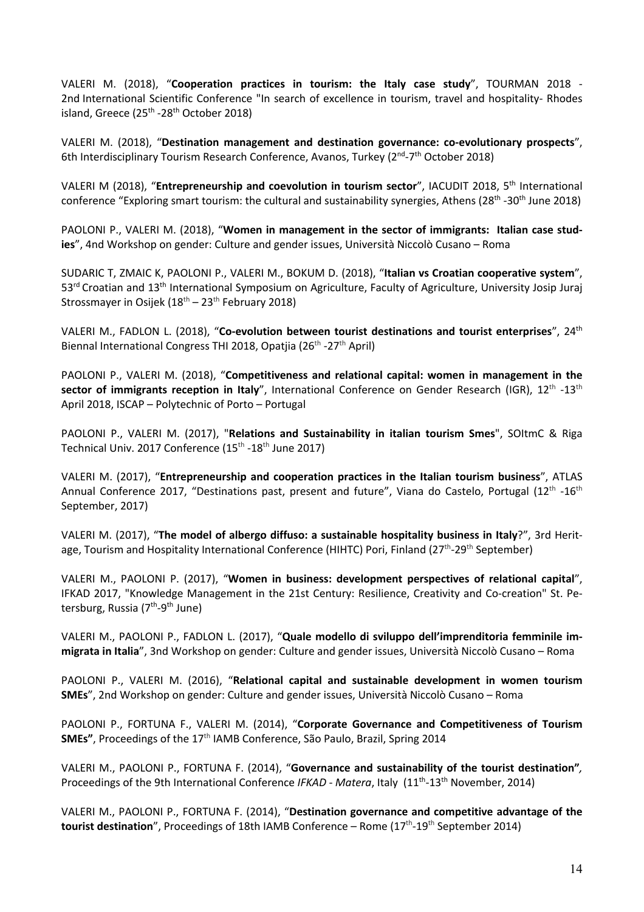VALERI M. (2018), "**Cooperation practices in tourism: the Italy case study**", TOURMAN 2018 - 2nd International Scientific Conference "In search of excellence in tourism, travel and hospitality- Rhodes island, Greece  $(25<sup>th</sup> - 28<sup>th</sup>$  October 2018)

VALERI M. (2018), "**Destination management and destination governance: co-evolutionary prospects**", 6th Interdisciplinary Tourism Research Conference, Avanos, Turkey (2<sup>nd</sup>-7<sup>th</sup> October 2018)

VALERI M (2018), "**Entrepreneurship and coevolution in tourism sector**", IACUDIT 2018, 5th International conference "Exploring smart tourism: the cultural and sustainability synergies, Athens (28<sup>th</sup> -30<sup>th</sup> June 2018)

PAOLONI P., VALERI M. (2018), "**Women in management in the sector of immigrants: Italian case studies**", 4nd Workshop on gender: Culture and gender issues, Università Niccolò Cusano – Roma

SUDARIC T, ZMAIC K, PAOLONI P., VALERI M., BOKUM D. (2018), "**Italian vs Croatian cooperative system**", 53<sup>rd</sup> Croatian and 13<sup>th</sup> International Symposium on Agriculture, Faculty of Agriculture, University Josip Juraj Strossmayer in Osijek ( $18<sup>th</sup> - 23<sup>th</sup>$  February 2018)

VALERI M., FADLON L. (2018), "**Co-evolution between tourist destinations and tourist enterprises**", 24th Biennal International Congress THI 2018, Opatjia (26<sup>th</sup> -27<sup>th</sup> April)

PAOLONI P., VALERI M. (2018), "**Competitiveness and relational capital: women in management in the sector of immigrants reception in Italy",** International Conference on Gender Research (IGR), 12<sup>th</sup> -13<sup>th</sup> April 2018, ISCAP – Polytechnic of Porto – Portugal

PAOLONI P., VALERI M. (2017), "**Relations and Sustainability in italian tourism Smes**", SOItmC & Riga Technical Univ. 2017 Conference (15<sup>th</sup> -18<sup>th</sup> June 2017)

VALERI M. (2017), "**Entrepreneurship and cooperation practices in the Italian tourism business**", ATLAS Annual Conference 2017, "Destinations past, present and future", Viana do Castelo, Portugal (12<sup>th</sup> -16<sup>th</sup> September, 2017)

VALERI M. (2017), "**The model of albergo diffuso: a sustainable hospitality business in Italy**?", 3rd Heritage, Tourism and Hospitality International Conference (HIHTC) Pori, Finland (27<sup>th</sup>-29<sup>th</sup> September)

VALERI M., PAOLONI P. (2017), "**Women in business: development perspectives of relational capital**", IFKAD 2017, "Knowledge Management in the 21st Century: Resilience, Creativity and Co-creation" St. Petersburg, Russia (7<sup>th</sup>-9<sup>th</sup> June)

VALERI M., PAOLONI P., FADLON L. (2017), "**Quale modello di sviluppo dell'imprenditoria femminile immigrata in Italia**", 3nd Workshop on gender: Culture and gender issues, Università Niccolò Cusano – Roma

PAOLONI P., VALERI M. (2016), "**Relational capital and sustainable development in women tourism SMEs**", 2nd Workshop on gender: Culture and gender issues, Università Niccolò Cusano – Roma

PAOLONI P., FORTUNA F., VALERI M. (2014), "**Corporate Governance and Competitiveness of Tourism SMEs"**, Proceedings of the 17<sup>th</sup> IAMB Conference, São Paulo, Brazil, Spring 2014

VALERI M., PAOLONI P., FORTUNA F. (2014), "**Governance and sustainability of the tourist destination"***,* Proceedings of the 9th International Conference *IFKAD - Matera*, Italy (11<sup>th</sup>-13<sup>th</sup> November, 2014)

VALERI M., PAOLONI P., FORTUNA F. (2014), "**Destination governance and competitive advantage of the tourist destination**", Proceedings of 18th IAMB Conference – Rome (17th-19th September 2014)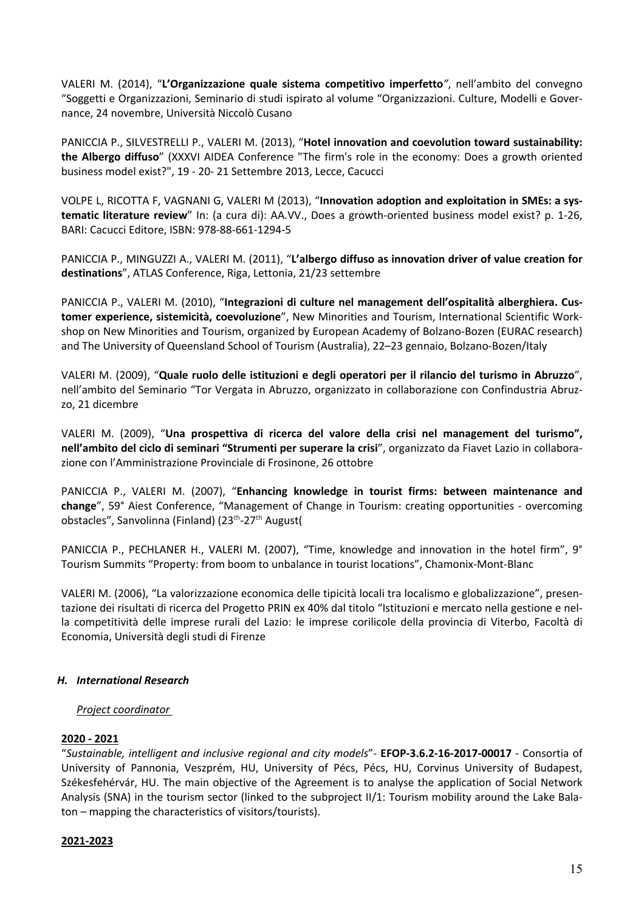VALERI M. (2014), "**L'Organizzazione quale sistema competitivo imperfetto***"*, nell'ambito del convegno "Soggetti e Organizzazioni, Seminario di studi ispirato al volume "Organizzazioni. Culture, Modelli e Governance, 24 novembre, Università Niccolò Cusano

PANICCIA P., SILVESTRELLI P., VALERI M. (2013), "**Hotel innovation and coevolution toward sustainability: the Albergo diffuso**" (XXXVI AIDEA Conference "The firm's role in the economy: Does a growth oriented business model exist?", 19 - 20- 21 Settembre 2013, Lecce, Cacucci

VOLPE L, RICOTTA F, VAGNANI G, VALERI M (2013), "**Innovation adoption and exploitation in SMEs: a systematic literature review**" In: (a cura di): AA.VV., Does a growth-oriented business model exist? p. 1-26, BARI: Cacucci Editore, ISBN: 978-88-661-1294-5

PANICCIA P., MINGUZZI A., VALERI M. (2011), "**L'albergo diffuso as innovation driver of value creation for destinations**", ATLAS Conference, Riga, Lettonia, 21/23 settembre

PANICCIA P., VALERI M. (2010), "**Integrazioni di culture nel management dell'ospitalità alberghiera. Customer experience, sistemicità, coevoluzione**", New Minorities and Tourism, International Scientific Workshop on New Minorities and Tourism, organized by European Academy of Bolzano-Bozen (EURAC research) and The University of Queensland School of Tourism (Australia), 22–23 gennaio, Bolzano-Bozen/Italy

VALERI M. (2009), "**Quale ruolo delle istituzioni e degli operatori per il rilancio del turismo in Abruzzo**", nell'ambito del Seminario "Tor Vergata in Abruzzo, organizzato in collaborazione con Confindustria Abruzzo, 21 dicembre

VALERI M. (2009), "**Una prospettiva di ricerca del valore della crisi nel management del turismo", nell'ambito del ciclo di seminari "Strumenti per superare la crisi**", organizzato da Fiavet Lazio in collaborazione con l'Amministrazione Provinciale di Frosinone, 26 ottobre

PANICCIA P., VALERI M. (2007), "**Enhancing knowledge in tourist firms: between maintenance and change**", 59° Aiest Conference, "Management of Change in Tourism: creating opportunities - overcoming obstacles", Sanvolinna (Finland) (23<sup>th</sup>-27<sup>th</sup> August(

PANICCIA P., PECHLANER H., VALERI M. (2007), "Time, knowledge and innovation in the hotel firm", 9° Tourism Summits "Property: from boom to unbalance in tourist locations", Chamonix-Mont-Blanc

VALERI M. (2006), "La valorizzazione economica delle tipicità locali tra localismo e globalizzazione", presentazione dei risultati di ricerca del Progetto PRIN ex 40% dal titolo "Istituzioni e mercato nella gestione e nella competitività delle imprese rurali del Lazio: le imprese corilicole della provincia di Viterbo, Facoltà di Economia, Università degli studi di Firenze

# *H. International Research*

# *Project coordinator*

# **2020 - 2021**

"*Sustainable, intelligent and inclusive regional and city models*"- **EFOP-3.6.2-16-2017-00017** - Consortia of University of Pannonia, Veszprém, HU, University of Pécs, Pécs, HU, Corvinus University of Budapest, Székesfehérvár, HU. The main objective of the Agreement is to analyse the application of Social Network Analysis (SNA) in the tourism sector (linked to the subproject II/1: Tourism mobility around the Lake Balaton – mapping the characteristics of visitors/tourists).

## **2021-2023**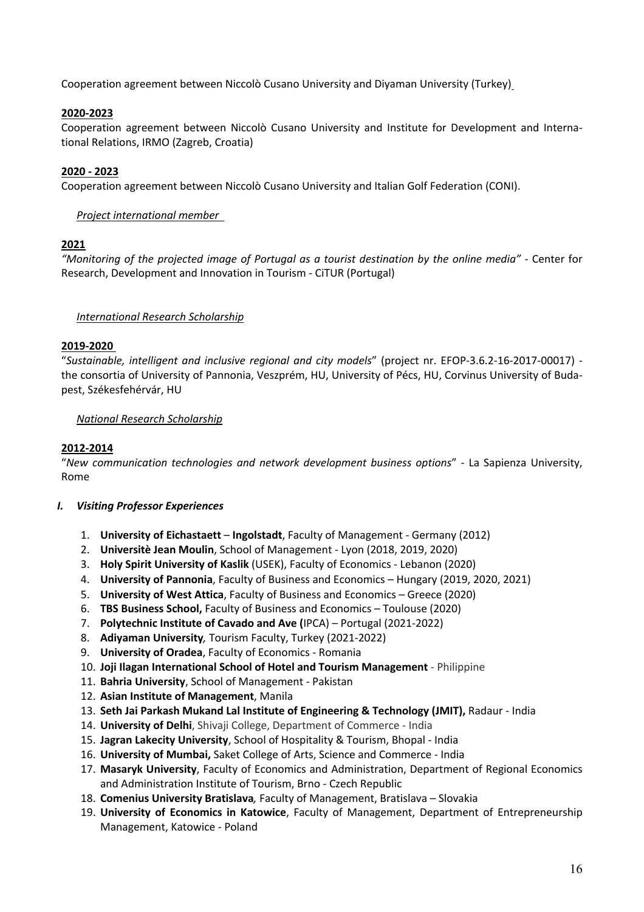Cooperation agreement between Niccolò Cusano University and Diyaman University (Turkey)

# **2020-2023**

Cooperation agreement between Niccolò Cusano University and Institute for Development and International Relations, IRMO (Zagreb, Croatia)

# **2020 - 2023**

Cooperation agreement between Niccolò Cusano University and Italian Golf Federation (CONI).

## *Project international member*

## **2021**

*"Monitoring of the projected image of Portugal as a tourist destination by the online media" -* Center for Research, Development and Innovation in Tourism - CiTUR (Portugal)

## *International Research Scholarship*

## **2019-2020**

"*Sustainable, intelligent and inclusive regional and city models*" (project nr. EFOP-3.6.2-16-2017-00017) the consortia of University of Pannonia, Veszprém, HU, University of Pécs, HU, Corvinus University of Budapest, Székesfehérvár, HU

# *National Research Scholarship*

# **2012-2014**

"*New communication technologies and network development business options*" - La Sapienza University, Rome

## *I. Visiting Professor Experiences*

- 1. **University of Eichastaett Ingolstadt**, Faculty of Management Germany (2012)
- 2. **Universitè Jean Moulin**, School of Management Lyon (2018, 2019, 2020)
- 3. **Holy Spirit University of Kaslik** (USEK), Faculty of Economics Lebanon (2020)
- 4. **University of Pannonia**, Faculty of Business and Economics Hungary (2019, 2020, 2021)
- 5. **University of West Attica**, Faculty of Business and Economics Greece (2020)
- 6. **TBS Business School,** Faculty of Business and Economics Toulouse (2020)
- 7. **Polytechnic Institute of Cavado and Ave (**IPCA) Portugal (2021-2022)
- 8. **Adiyaman University***,* Tourism Faculty, Turkey (2021-2022)
- 9. **University of Oradea**, Faculty of Economics Romania
- 10. **Joji Ilagan International School of Hotel and Tourism Management** Philippine
- 11. **Bahria University**, School of Management Pakistan
- 12. **Asian Institute of Management**, Manila
- 13. **Seth Jai Parkash Mukand Lal Institute of Engineering & Technology (JMIT),** Radaur India
- 14. **University of Delhi**, Shivaji College, Department of Commerce India
- 15. **Jagran Lakecity University**, School of Hospitality & Tourism, Bhopal India
- 16. **University of Mumbai,** Saket College of Arts, Science and Commerce India
- 17. **Masaryk University**, Faculty of Economics and Administration, Department of Regional Economics and Administration Institute of Tourism, Brno - Czech Republic
- 18. **Comenius University Bratislava***,* Faculty of Management, Bratislava Slovakia
- 19. **University of Economics in Katowice**, Faculty of Management, Department of Entrepreneurship Management, Katowice - Poland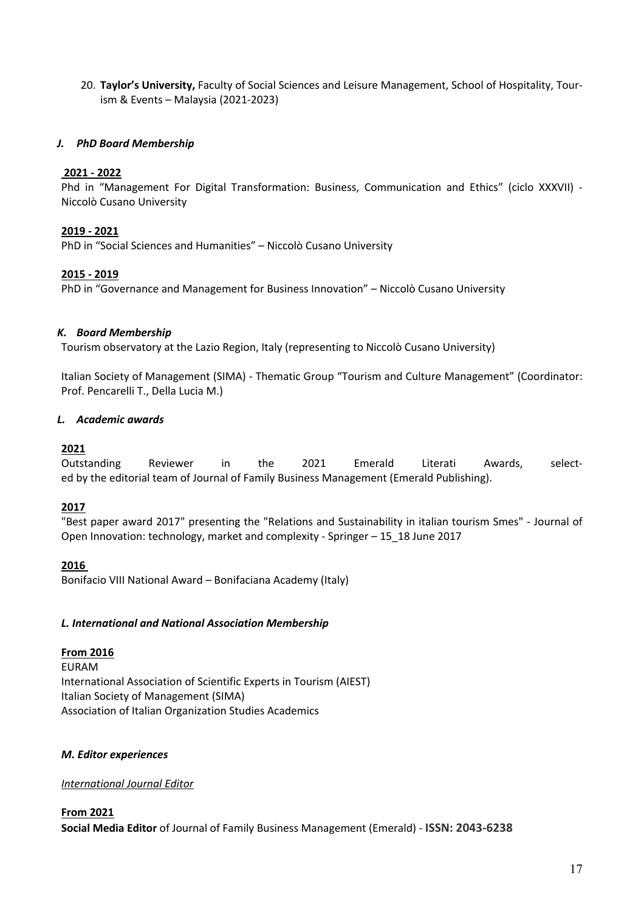20. **Taylor's University,** Faculty of Social Sciences and Leisure Management, School of Hospitality, Tourism & Events – Malaysia (2021-2023)

# *J. PhD Board Membership*

## **2021 - 2022**

Phd in "Management For Digital Transformation: Business, Communication and Ethics" (ciclo XXXVII) - Niccolò Cusano University

# **2019 - 2021**

PhD in "Social Sciences and Humanities" – Niccolò Cusano University

# **2015 - 2019**

PhD in "Governance and Management for Business Innovation" – Niccolò Cusano University

## *K. Board Membership*

Tourism observatory at the Lazio Region, Italy (representing to Niccolò Cusano University)

Italian Society of Management (SIMA) - Thematic Group "Tourism and Culture Management" (Coordinator: Prof. Pencarelli T., Della Lucia M.)

# *L. Academic awards*

# **2021**

Outstanding Reviewer in the 2021 Emerald Literati Awards, selected by the editorial team of Journal of Family Business Management (Emerald Publishing).

## **2017**

"Best paper award 2017" presenting the "Relations and Sustainability in italian tourism Smes" - Journal of Open Innovation: technology, market and complexity - Springer – 15\_18 June 2017

**2016**

Bonifacio VIII National Award – Bonifaciana Academy (Italy)

## *L. International and National Association Membership*

# **From 2016**

EURAM International Association of Scientific Experts in Tourism (AIEST) Italian Society of Management (SIMA) Association of Italian Organization Studies Academics

## *M. Editor experiences*

## *International Journal Editor*

**From 2021 Social Media Editor** of Journal of Family Business Management (Emerald) - **ISSN: 2043-6238**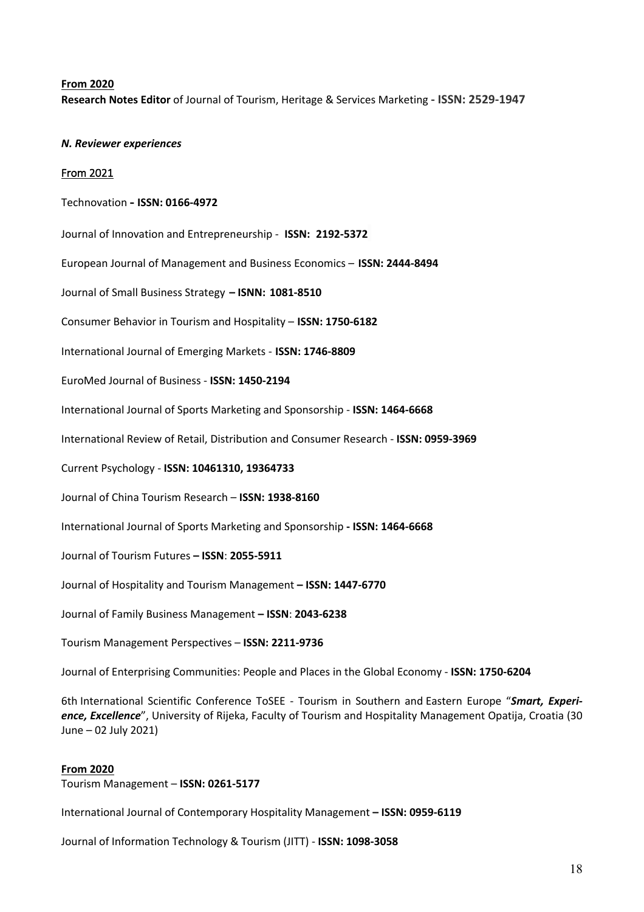## **From 2020**

**Research Notes Editor** of Journal of Tourism, Heritage & Services Marketing **- ISSN: 2529-1947**

#### *N. Reviewer experiences*

#### From 2021

#### Technovation **- ISSN: 0166-4972**

Journal of Innovation and Entrepreneurship - **ISSN: 2192-5372**

European Journal of Management and Business Economics – **ISSN: 2444-8494**

Journal of Small Business Strategy **– ISNN: 1081-8510**

Consumer Behavior in Tourism and Hospitality – **ISSN: 1750-6182**

International Journal of Emerging Markets - **ISSN: 1746-8809**

EuroMed Journal of Business - **ISSN: 1450-2194**

International Journal of Sports Marketing and Sponsorship - **ISSN: 1464-6668**

International Review of Retail, Distribution and Consumer Research - **ISSN: 0959-3969**

Current Psychology - **ISSN: 10461310, 19364733**

Journal of China Tourism Research – **ISSN: 1938-8160**

International Journal of Sports Marketing and Sponsorship **- ISSN: 1464-6668**

Journal of Tourism Futures **– ISSN**: **2055-5911**

Journal of Hospitality and Tourism Management **– ISSN: 1447-6770**

Journal of Family Business Management **– ISSN**: **2043-6238**

Tourism Management Perspectives – **ISSN: 2211-9736**

Journal of Enterprising Communities: People and Places in the Global Economy - **ISSN: 1750-6204**

6th International Scientific Conference ToSEE - Tourism in Southern and Eastern Europe "*Smart, Experience, Excellence*", University of Rijeka, Faculty of Tourism and Hospitality Management Opatija, Croatia (30 June – 02 July 2021)

#### **From 2020**

Tourism Management – **ISSN: 0261-5177**

International Journal of Contemporary Hospitality Management **– ISSN: 0959-6119**

Journal of Information Technology & Tourism (JITT) - **ISSN: 1098-3058**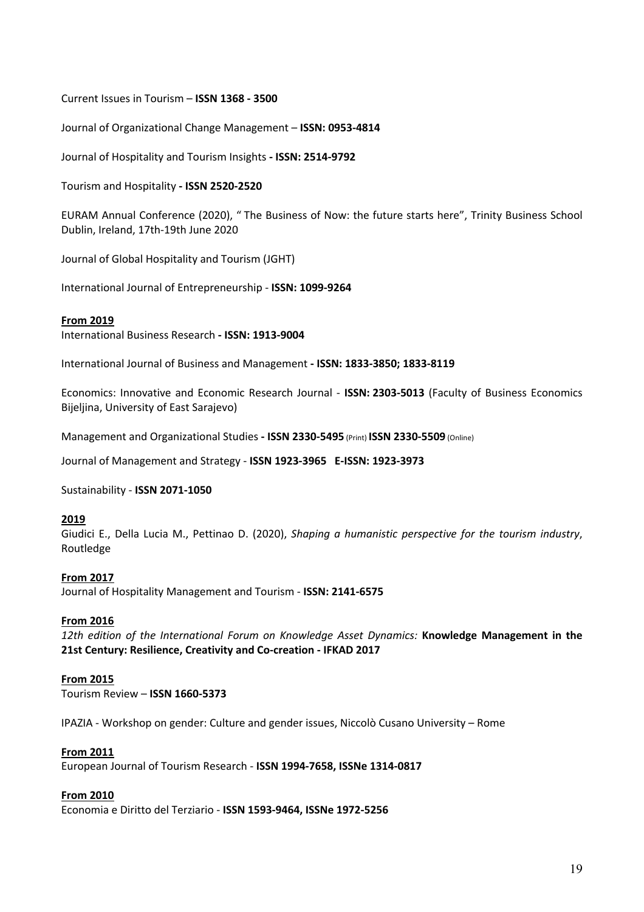## Current Issues in Tourism – **ISSN 1368 - 3500**

Journal of Organizational Change Management – **ISSN: 0953-4814**

Journal of Hospitality and Tourism Insights **- ISSN: 2514-9792**

Tourism and Hospitality **- ISSN 2520-2520**

EURAM Annual Conference (2020), " The Business of Now: the future starts here", Trinity Business School Dublin, Ireland, 17th-19th June 2020

Journal of Global Hospitality and Tourism (JGHT)

International Journal of Entrepreneurship - **ISSN: 1099-9264**

#### **From 2019**

International Business Research **- ISSN: 1913-9004**

International Journal of Business and Management **- ISSN: 1833-3850; 1833-8119**

Economics: Innovative and Economic Research Journal - **ISSN: 2303-5013** (Faculty of Business Economics Bijeljina, University of East Sarajevo)

Management and Organizational Studies **- ISSN 2330-5495** (Print) **ISSN 2330-5509** (Online)

Journal of Management and Strategy - **ISSN 1923-3965 E-ISSN: 1923-3973**

Sustainability - **ISSN 2071-1050**

#### **2019**

Giudici E., Della Lucia M., Pettinao D. (2020), *Shaping a humanistic perspective for the tourism industry*, Routledge

#### **From 2017**

Journal of Hospitality Management and Tourism - **ISSN: 2141-6575**

#### **From 2016**

*12th edition of the International Forum on Knowledge Asset Dynamics:* **Knowledge Management in the 21st Century: Resilience, Creativity and Co-creation - IFKAD 2017**

#### **From 2015**

Tourism Review – **ISSN 1660-5373**

IPAZIA - Workshop on gender: Culture and gender issues, Niccolò Cusano University – Rome

#### **From 2011**

European Journal of Tourism Research - **ISSN 1994-7658, ISSNe 1314-0817**

#### **From 2010**

Economia e Diritto del Terziario - **ISSN 1593-9464, ISSNe 1972-5256**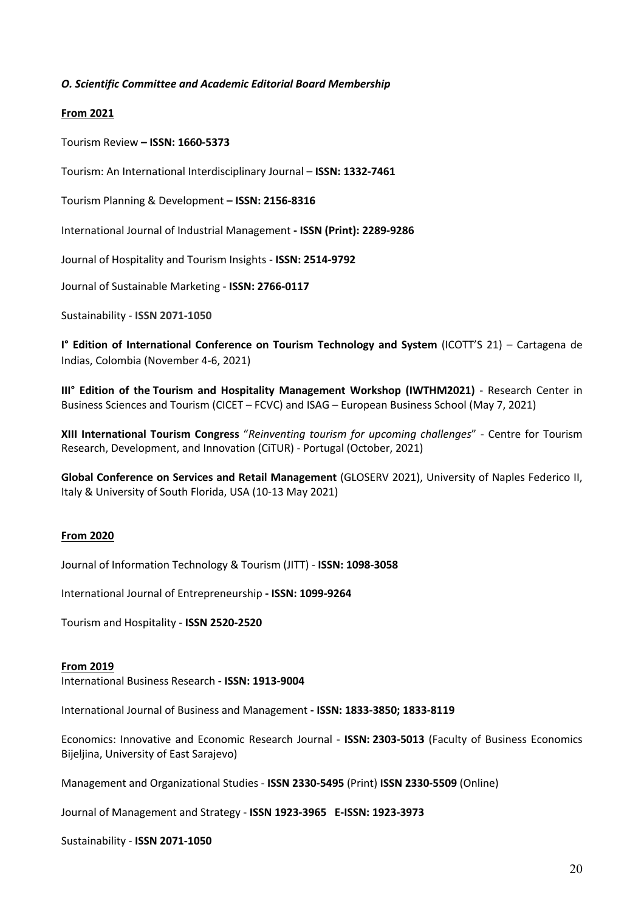## *O. Scientific Committee and Academic Editorial Board Membership*

## **From 2021**

Tourism Review **– ISSN: 1660-5373**

Tourism: An International Interdisciplinary Journal – **ISSN: 1332-7461**

Tourism Planning & Development **– ISSN: 2156-8316**

International Journal of Industrial Management **- ISSN (Print): 2289-9286**

Journal of Hospitality and Tourism Insights - **ISSN: 2514-9792**

Journal of Sustainable Marketing - **ISSN: 2766-0117**

Sustainability - **ISSN 2071-1050**

**I° Edition of International Conference on Tourism Technology and System** (ICOTT'S 21) – Cartagena de Indias, Colombia (November 4-6, 2021)

**III° Edition of the Tourism and Hospitality Management Workshop (IWTHM2021)** - Research Center in Business Sciences and Tourism (CICET – FCVC) and ISAG – European Business School (May 7, 2021)

**XIII International Tourism Congress** "*Reinventing tourism for upcoming challenges*" - Centre for Tourism Research, Development, and Innovation (CiTUR) - Portugal (October, 2021)

**Global Conference on Services and Retail Management** (GLOSERV 2021), University of Naples Federico II, Italy & University of South Florida, USA (10-13 May 2021)

## **From 2020**

Journal of Information Technology & Tourism (JITT) - **ISSN: 1098-3058**

International Journal of Entrepreneurship **- ISSN: 1099-9264**

Tourism and Hospitality - **ISSN 2520-2520**

#### **From 2019**

International Business Research **- ISSN: 1913-9004**

International Journal of Business and Management **- ISSN: 1833-3850; 1833-8119**

Economics: Innovative and Economic Research Journal - **ISSN: 2303-5013** (Faculty of Business Economics Bijeljina, University of East Sarajevo)

Management and Organizational Studies - **ISSN 2330-5495** (Print) **ISSN 2330-5509** (Online)

Journal of Management and Strategy - **ISSN 1923-3965 E-ISSN: 1923-3973**

Sustainability - **ISSN 2071-1050**